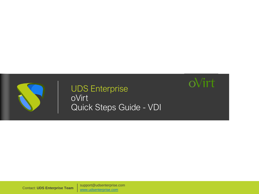

### UDS Enterprise **oVirt** Quick Steps Guide - VDI

oVirt

support@udsenterprise.com Contact: **UDS Enterprise Team** [www.udsenterprise.com](http://www.udsenterprise.com/)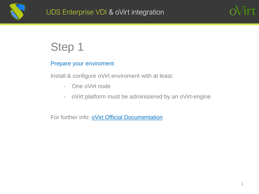

### Prepare your enviroment

Install & configure oVirt enviroment with at least:

- One oVirt node
- oVirt platform must be administered by an oVirt-engine

For further info: oVirt Official [Documentation](https://www.ovirt.org/documentation/)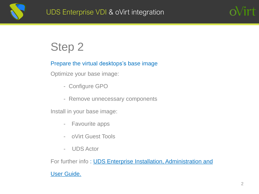

#### Prepare the virtual desktops's base image

Optimize your base image:

- Configure GPO
- Remove unnecessary components

Install in your base image:

- Favourite apps
- oVirt Guest Tools
- UDS Actor

For further info: **UDS Enterprise Installation, Administration and** 

#### User [Guide.](https://www.udsenterprise.com/media/filer_public/e8/1f/e81f1943-5f07-4e10-9241-dfc36bf28b75/uds-enterprise-30-user-administration-guide.pdf)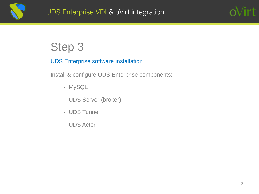



#### UDS Enterprise software installation

Install & configure UDS Enterprise components:

- MySQL
- UDS Server (broker)
- UDS Tunnel
- UDS Actor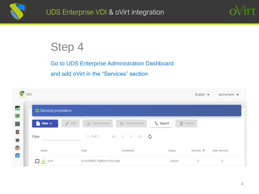



### Go to UDS Enterprise Administration Dashboard and add oVirt in the "Services" section

| $\sqrt{\ }$ UDS<br>UDS |                                                 |                              |                                                                                                                                                                                                                                                                                                                                                                                                                                                                                                                                                         |                                   | English $\blacktriangleright$ | aschumann $\blacktriangledown$ |  |  |
|------------------------|-------------------------------------------------|------------------------------|---------------------------------------------------------------------------------------------------------------------------------------------------------------------------------------------------------------------------------------------------------------------------------------------------------------------------------------------------------------------------------------------------------------------------------------------------------------------------------------------------------------------------------------------------------|-----------------------------------|-------------------------------|--------------------------------|--|--|
| <b>Co</b><br>þij       | Service providers                               |                              |                                                                                                                                                                                                                                                                                                                                                                                                                                                                                                                                                         |                                   |                               |                                |  |  |
| Ė                      | $\rightarrow$ Edit<br>$\sqrt{ }$ New $\sqrt{ }$ | <u>A</u> Permissions         | Maintenance                                                                                                                                                                                                                                                                                                                                                                                                                                                                                                                                             | 面<br>$t_{\perp}$ Export<br>Delete |                               |                                |  |  |
| Ξ<br>E.                | Filter                                          |                              | 1-5 of $5$ $\left  \left\langle \right. \left. \left. \left. \left( \left. \left. \right. \right. \right. \right. \left. \left. \right. \right. \right. \right. \right. \left. \left. \left. \left. \right. \right. \right. \left. \left. \left. \right. \right. \right. \left. \left. \left. \left. \right. \right. \right. \left. \left. \left. \right. \right. \right. \left. \left. \left. \left. \right. \right. \right. \left. \left. \left. \right. \right. \right. \left. \left. \left. \left. \left. \right. \right. \right. \right. \left. \$ |                                   |                               |                                |  |  |
| œ<br>es <sup>1</sup>   | Name                                            | Type                         | Comments                                                                                                                                                                                                                                                                                                                                                                                                                                                                                                                                                | <b>Status</b>                     | Services 个                    | <b>User Services</b>           |  |  |
|                        | $\Box$ oV ovirt                                 | oVirt/RHEV Platform Provider |                                                                                                                                                                                                                                                                                                                                                                                                                                                                                                                                                         | Active                            | $\circ$                       | 0                              |  |  |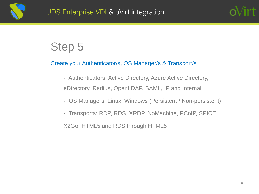

### Create your Authenticator/s, OS Manager/s & Transport/s

- Authenticators: Active Directory, Azure Active Directory, eDirectory, Radius, OpenLDAP, SAML, IP and Internal
- OS Managers: Linux, Windows (Persistent / Non-persistent)
- Transports: RDP, RDS, XRDP, NoMachine, PCoIP, SPICE,

X2Go, HTML5 and RDS through HTML5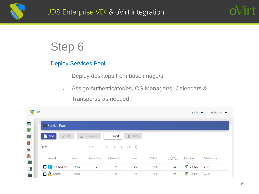



### Deploy Services Pool

- Deploy desktops from base image/s
- Assign Authenticator/es, OS Manager/s, Calendars &

Transport/s as needed

| <b>V</b> UDS |                         |                       |               |                |                                                                   |                 |         |                     | English $\blacktriangleright$ | aschumann $\blacktriangleright$ |
|--------------|-------------------------|-----------------------|---------------|----------------|-------------------------------------------------------------------|-----------------|---------|---------------------|-------------------------------|---------------------------------|
|              | <b>us</b> Service Pools |                       |               |                |                                                                   |                 |         |                     |                               |                                 |
|              | New                     | $\rightarrow$ Edit    |               | e Permissions  | $t_{\downarrow}$ Export                                           | <b>面</b> Delete |         |                     |                               |                                 |
|              | Filter                  |                       |               | $1 - 8$ of $8$ | $\begin{array}{ccccccc}\n&\times&\times&\times&\times\end{array}$ | ¢               |         |                     |                               |                                 |
|              | Name $\downarrow$       |                       | <b>Status</b> | User services  | In Preparation                                                    | Usage           | Visible | Shows<br>transports | Pool group                    | Parent service                  |
|              |                         | <b>O</b> P Windows 10 | Active        | $\circ$        | 0                                                                 | 0%              | yes     | yes                 | Default                       | OVirt                           |
|              | $\Box$ Ubuntu           |                       | Active        | $\circ$        | 0                                                                 | 0%              | yes     | yes                 | Default                       | <b>VAPP</b>                     |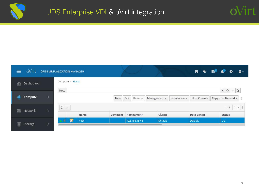



irt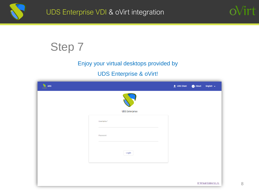



### Enjoy your virtual desktops provided by

### UDS Enterprise & oVirt!

| <b>W</b> UDS |                       | $\bigstar$ UDS Client | About | English $\leftarrow$   |
|--------------|-----------------------|-----------------------|-------|------------------------|
|              |                       |                       |       |                        |
|              | <b>UDS Enterprise</b> |                       |       |                        |
|              | Username*             |                       |       |                        |
|              |                       |                       |       |                        |
|              | Password              |                       |       |                        |
|              |                       |                       |       |                        |
|              | Login                 |                       |       |                        |
|              |                       |                       |       |                        |
|              |                       |                       |       |                        |
|              |                       |                       |       | © Virtual Cable S.L.U. |